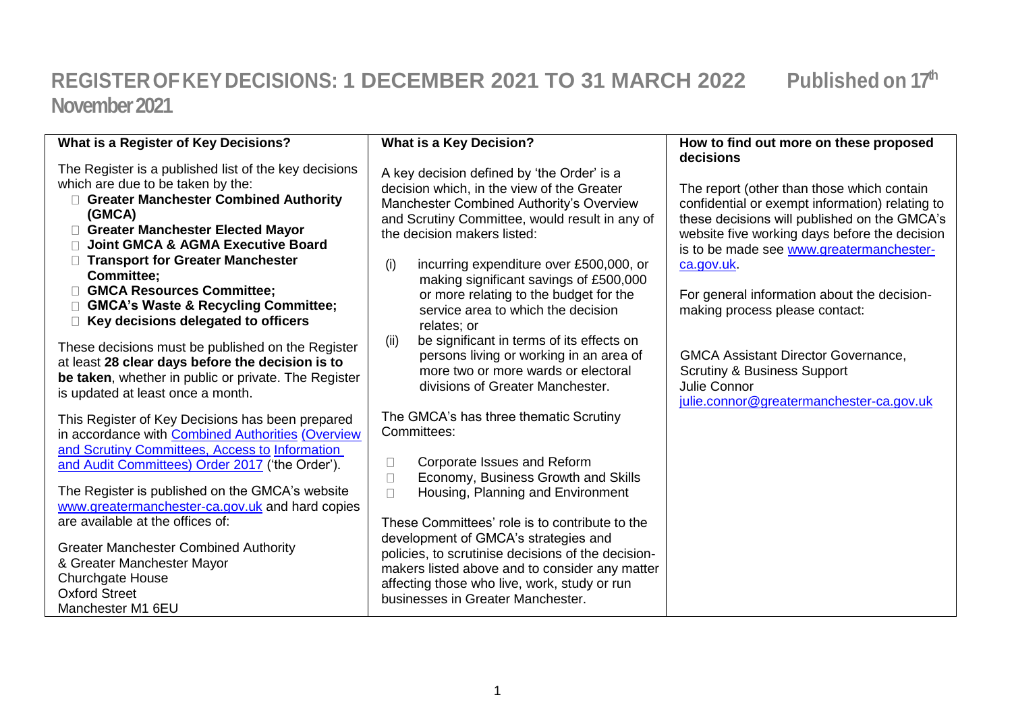## **REGISTEROFKEYDECISIONS: 1 DECEMBER 2021 TO 31 MARCH 2022 Published on 17th November 2021**

| What is a Register of Key Decisions?                                                                                                                                                                                                                                                                                                                                                      | <b>What is a Key Decision?</b>                                                                                                                                                                                                                                                                                                                                                                    | How to find out more on these proposed                                                                                                                                                                                                                                                                                                    |
|-------------------------------------------------------------------------------------------------------------------------------------------------------------------------------------------------------------------------------------------------------------------------------------------------------------------------------------------------------------------------------------------|---------------------------------------------------------------------------------------------------------------------------------------------------------------------------------------------------------------------------------------------------------------------------------------------------------------------------------------------------------------------------------------------------|-------------------------------------------------------------------------------------------------------------------------------------------------------------------------------------------------------------------------------------------------------------------------------------------------------------------------------------------|
|                                                                                                                                                                                                                                                                                                                                                                                           |                                                                                                                                                                                                                                                                                                                                                                                                   | decisions                                                                                                                                                                                                                                                                                                                                 |
| The Register is a published list of the key decisions<br>which are due to be taken by the:<br>□ Greater Manchester Combined Authority<br>(GMCA)<br><b>Greater Manchester Elected Mayor</b><br><b>Joint GMCA &amp; AGMA Executive Board</b><br><b>Transport for Greater Manchester</b><br><b>Committee;</b><br>GMCA Resources Committee:<br><b>GMCA's Waste &amp; Recycling Committee;</b> | A key decision defined by 'the Order' is a<br>decision which, in the view of the Greater<br>Manchester Combined Authority's Overview<br>and Scrutiny Committee, would result in any of<br>the decision makers listed:<br>incurring expenditure over £500,000, or<br>(i)<br>making significant savings of £500,000<br>or more relating to the budget for the<br>service area to which the decision | The report (other than those which contain<br>confidential or exempt information) relating to<br>these decisions will published on the GMCA's<br>website five working days before the decision<br>is to be made see www.greatermanchester-<br>ca.gov.uk.<br>For general information about the decision-<br>making process please contact: |
| $\Box$ Key decisions delegated to officers                                                                                                                                                                                                                                                                                                                                                | relates; or                                                                                                                                                                                                                                                                                                                                                                                       |                                                                                                                                                                                                                                                                                                                                           |
| These decisions must be published on the Register<br>at least 28 clear days before the decision is to<br>be taken, whether in public or private. The Register<br>is updated at least once a month.                                                                                                                                                                                        | be significant in terms of its effects on<br>(ii)<br>persons living or working in an area of<br>more two or more wards or electoral<br>divisions of Greater Manchester.                                                                                                                                                                                                                           | <b>GMCA Assistant Director Governance,</b><br><b>Scrutiny &amp; Business Support</b><br>Julie Connor<br>julie.connor@greatermanchester-ca.gov.uk                                                                                                                                                                                          |
| This Register of Key Decisions has been prepared<br>in accordance with <b>Combined Authorities (Overview</b>                                                                                                                                                                                                                                                                              | The GMCA's has three thematic Scrutiny<br>Committees:                                                                                                                                                                                                                                                                                                                                             |                                                                                                                                                                                                                                                                                                                                           |
| and Scrutiny Committees, Access to Information<br>and Audit Committees) Order 2017 ('the Order').                                                                                                                                                                                                                                                                                         | Corporate Issues and Reform<br>$\Box$<br>Economy, Business Growth and Skills<br>$\Box$                                                                                                                                                                                                                                                                                                            |                                                                                                                                                                                                                                                                                                                                           |
| The Register is published on the GMCA's website<br>www.greatermanchester-ca.gov.uk and hard copies<br>are available at the offices of:                                                                                                                                                                                                                                                    | Housing, Planning and Environment<br>$\Box$<br>These Committees' role is to contribute to the                                                                                                                                                                                                                                                                                                     |                                                                                                                                                                                                                                                                                                                                           |
| <b>Greater Manchester Combined Authority</b><br>& Greater Manchester Mayor<br><b>Churchgate House</b><br><b>Oxford Street</b><br>Manchester M1 6EU                                                                                                                                                                                                                                        | development of GMCA's strategies and<br>policies, to scrutinise decisions of the decision-<br>makers listed above and to consider any matter<br>affecting those who live, work, study or run<br>businesses in Greater Manchester.                                                                                                                                                                 |                                                                                                                                                                                                                                                                                                                                           |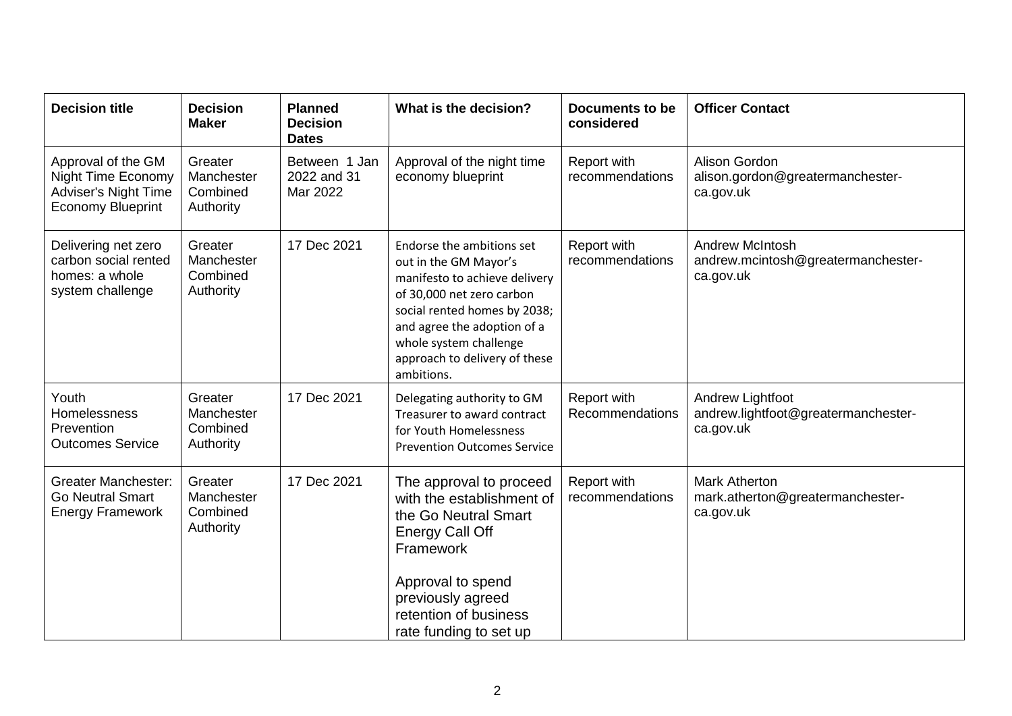| <b>Decision title</b>                                                                                      | <b>Decision</b><br><b>Maker</b>                | <b>Planned</b><br><b>Decision</b><br><b>Dates</b> | What is the decision?                                                                                                                                                                                                                                    | Documents to be<br>considered  | <b>Officer Contact</b>                                                    |
|------------------------------------------------------------------------------------------------------------|------------------------------------------------|---------------------------------------------------|----------------------------------------------------------------------------------------------------------------------------------------------------------------------------------------------------------------------------------------------------------|--------------------------------|---------------------------------------------------------------------------|
| Approval of the GM<br><b>Night Time Economy</b><br><b>Adviser's Night Time</b><br><b>Economy Blueprint</b> | Greater<br>Manchester<br>Combined<br>Authority | Between 1 Jan<br>2022 and 31<br>Mar 2022          | Approval of the night time<br>economy blueprint                                                                                                                                                                                                          | Report with<br>recommendations | Alison Gordon<br>alison.gordon@greatermanchester-<br>ca.gov.uk            |
| Delivering net zero<br>carbon social rented<br>homes: a whole<br>system challenge                          | Greater<br>Manchester<br>Combined<br>Authority | 17 Dec 2021                                       | Endorse the ambitions set<br>out in the GM Mayor's<br>manifesto to achieve delivery<br>of 30,000 net zero carbon<br>social rented homes by 2038;<br>and agree the adoption of a<br>whole system challenge<br>approach to delivery of these<br>ambitions. | Report with<br>recommendations | <b>Andrew McIntosh</b><br>andrew.mcintosh@greatermanchester-<br>ca.gov.uk |
| Youth<br>Homelessness<br>Prevention<br><b>Outcomes Service</b>                                             | Greater<br>Manchester<br>Combined<br>Authority | 17 Dec 2021                                       | Delegating authority to GM<br>Treasurer to award contract<br>for Youth Homelessness<br><b>Prevention Outcomes Service</b>                                                                                                                                | Report with<br>Recommendations | Andrew Lightfoot<br>andrew.lightfoot@greatermanchester-<br>ca.gov.uk      |
| <b>Greater Manchester:</b><br><b>Go Neutral Smart</b><br><b>Energy Framework</b>                           | Greater<br>Manchester<br>Combined<br>Authority | 17 Dec 2021                                       | The approval to proceed<br>with the establishment of<br>the Go Neutral Smart<br><b>Energy Call Off</b><br>Framework<br>Approval to spend<br>previously agreed<br>retention of business<br>rate funding to set up                                         | Report with<br>recommendations | <b>Mark Atherton</b><br>mark.atherton@greatermanchester-<br>ca.gov.uk     |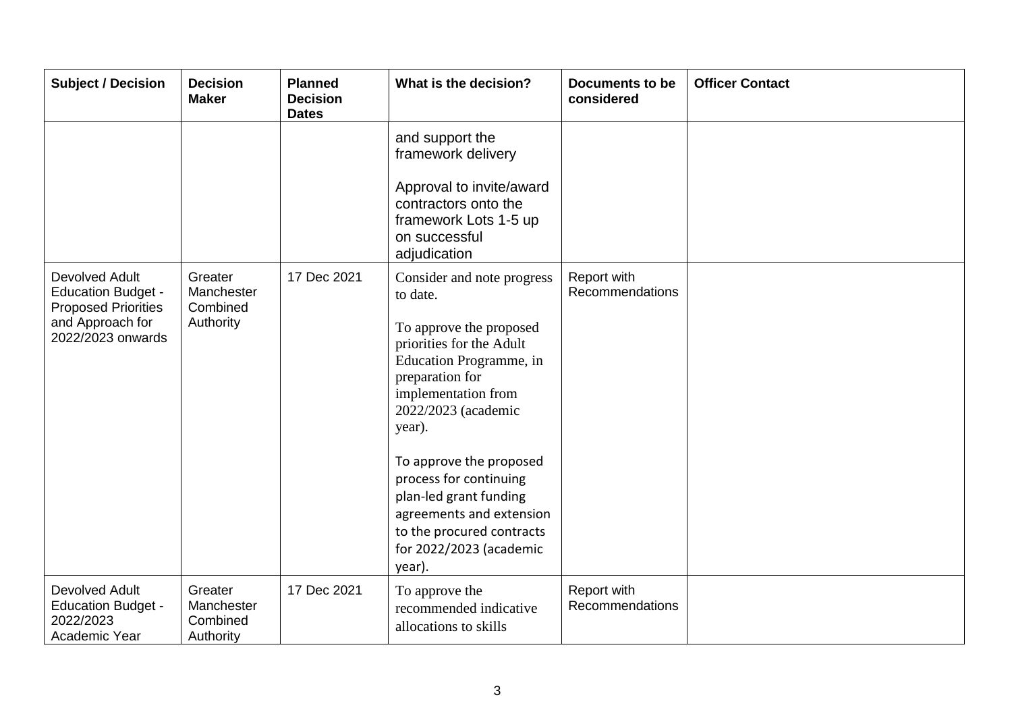| <b>Subject / Decision</b>                                                                                                 | <b>Decision</b><br><b>Maker</b>                | <b>Planned</b><br><b>Decision</b><br><b>Dates</b> | What is the decision?                                                                                                                                                                                                                                                                                                                                                            | <b>Documents to be</b><br>considered | <b>Officer Contact</b> |
|---------------------------------------------------------------------------------------------------------------------------|------------------------------------------------|---------------------------------------------------|----------------------------------------------------------------------------------------------------------------------------------------------------------------------------------------------------------------------------------------------------------------------------------------------------------------------------------------------------------------------------------|--------------------------------------|------------------------|
|                                                                                                                           |                                                |                                                   | and support the<br>framework delivery<br>Approval to invite/award<br>contractors onto the<br>framework Lots 1-5 up<br>on successful<br>adjudication                                                                                                                                                                                                                              |                                      |                        |
| <b>Devolved Adult</b><br><b>Education Budget -</b><br><b>Proposed Priorities</b><br>and Approach for<br>2022/2023 onwards | Greater<br>Manchester<br>Combined<br>Authority | 17 Dec 2021                                       | Consider and note progress<br>to date.<br>To approve the proposed<br>priorities for the Adult<br>Education Programme, in<br>preparation for<br>implementation from<br>2022/2023 (academic<br>year).<br>To approve the proposed<br>process for continuing<br>plan-led grant funding<br>agreements and extension<br>to the procured contracts<br>for 2022/2023 (academic<br>year). | Report with<br>Recommendations       |                        |
| <b>Devolved Adult</b><br><b>Education Budget -</b><br>2022/2023<br>Academic Year                                          | Greater<br>Manchester<br>Combined<br>Authority | 17 Dec 2021                                       | To approve the<br>recommended indicative<br>allocations to skills                                                                                                                                                                                                                                                                                                                | Report with<br>Recommendations       |                        |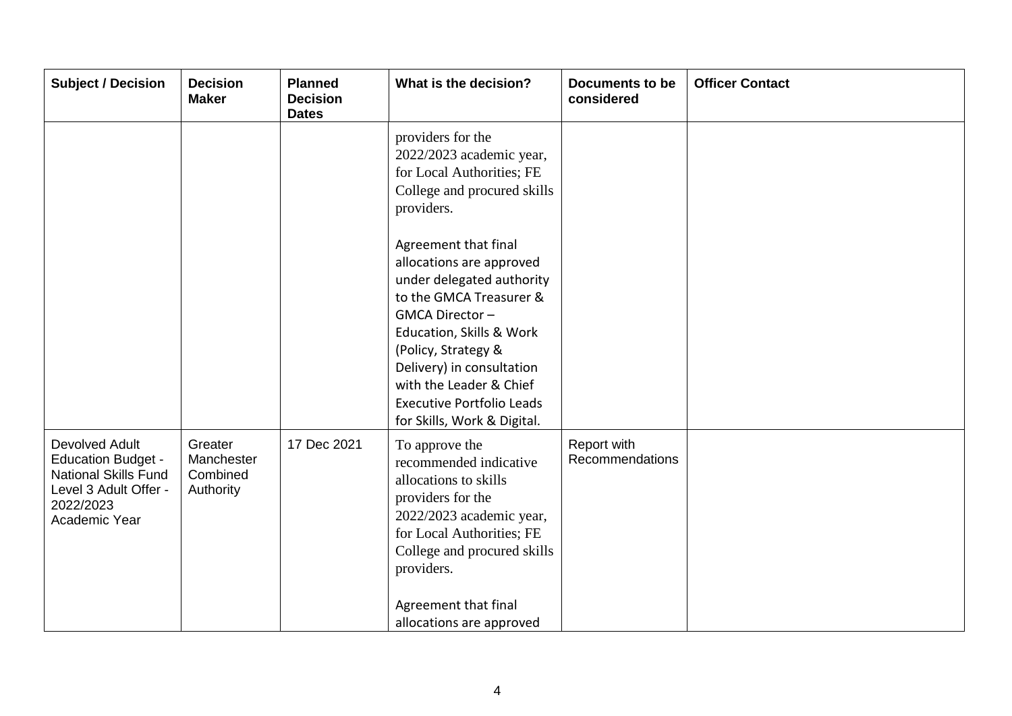| <b>Subject / Decision</b>                                                                                                                | <b>Decision</b><br><b>Maker</b>                | <b>Planned</b><br><b>Decision</b><br><b>Dates</b> | What is the decision?                                                                                                                                                                                                                                                                                    | <b>Documents to be</b><br>considered | <b>Officer Contact</b> |
|------------------------------------------------------------------------------------------------------------------------------------------|------------------------------------------------|---------------------------------------------------|----------------------------------------------------------------------------------------------------------------------------------------------------------------------------------------------------------------------------------------------------------------------------------------------------------|--------------------------------------|------------------------|
|                                                                                                                                          |                                                |                                                   | providers for the<br>2022/2023 academic year,<br>for Local Authorities; FE<br>College and procured skills<br>providers.                                                                                                                                                                                  |                                      |                        |
|                                                                                                                                          |                                                |                                                   | Agreement that final<br>allocations are approved<br>under delegated authority<br>to the GMCA Treasurer &<br>GMCA Director-<br>Education, Skills & Work<br>(Policy, Strategy &<br>Delivery) in consultation<br>with the Leader & Chief<br><b>Executive Portfolio Leads</b><br>for Skills, Work & Digital. |                                      |                        |
| <b>Devolved Adult</b><br><b>Education Budget -</b><br><b>National Skills Fund</b><br>Level 3 Adult Offer -<br>2022/2023<br>Academic Year | Greater<br>Manchester<br>Combined<br>Authority | 17 Dec 2021                                       | To approve the<br>recommended indicative<br>allocations to skills<br>providers for the<br>2022/2023 academic year,<br>for Local Authorities; FE<br>College and procured skills<br>providers.<br>Agreement that final<br>allocations are approved                                                         | Report with<br>Recommendations       |                        |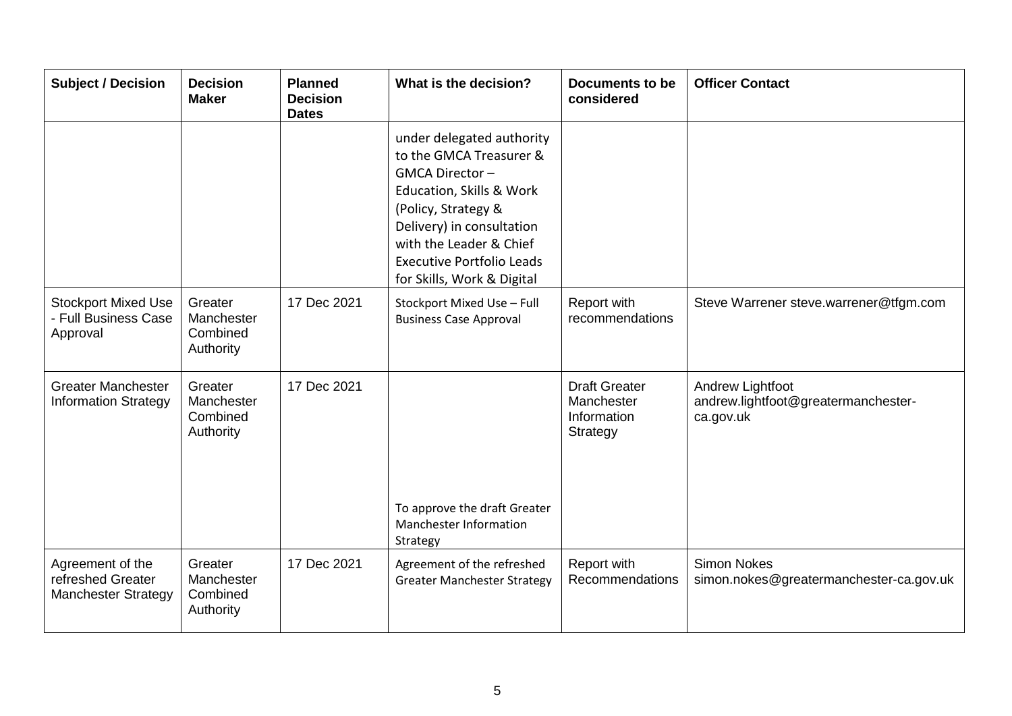| <b>Subject / Decision</b>                                           | <b>Decision</b><br><b>Maker</b>                | <b>Planned</b><br><b>Decision</b><br><b>Dates</b> | What is the decision?                                                                                                                                                                                                                               | <b>Documents to be</b><br>considered                          | <b>Officer Contact</b>                                               |
|---------------------------------------------------------------------|------------------------------------------------|---------------------------------------------------|-----------------------------------------------------------------------------------------------------------------------------------------------------------------------------------------------------------------------------------------------------|---------------------------------------------------------------|----------------------------------------------------------------------|
|                                                                     |                                                |                                                   | under delegated authority<br>to the GMCA Treasurer &<br>GMCA Director-<br>Education, Skills & Work<br>(Policy, Strategy &<br>Delivery) in consultation<br>with the Leader & Chief<br><b>Executive Portfolio Leads</b><br>for Skills, Work & Digital |                                                               |                                                                      |
| <b>Stockport Mixed Use</b><br>- Full Business Case<br>Approval      | Greater<br>Manchester<br>Combined<br>Authority | 17 Dec 2021                                       | Stockport Mixed Use - Full<br><b>Business Case Approval</b>                                                                                                                                                                                         | Report with<br>recommendations                                | Steve Warrener steve.warrener@tfgm.com                               |
| <b>Greater Manchester</b><br><b>Information Strategy</b>            | Greater<br>Manchester<br>Combined<br>Authority | 17 Dec 2021                                       | To approve the draft Greater<br>Manchester Information<br>Strategy                                                                                                                                                                                  | <b>Draft Greater</b><br>Manchester<br>Information<br>Strategy | Andrew Lightfoot<br>andrew.lightfoot@greatermanchester-<br>ca.gov.uk |
| Agreement of the<br>refreshed Greater<br><b>Manchester Strategy</b> | Greater<br>Manchester<br>Combined<br>Authority | 17 Dec 2021                                       | Agreement of the refreshed<br><b>Greater Manchester Strategy</b>                                                                                                                                                                                    | Report with<br>Recommendations                                | <b>Simon Nokes</b><br>simon.nokes@greatermanchester-ca.gov.uk        |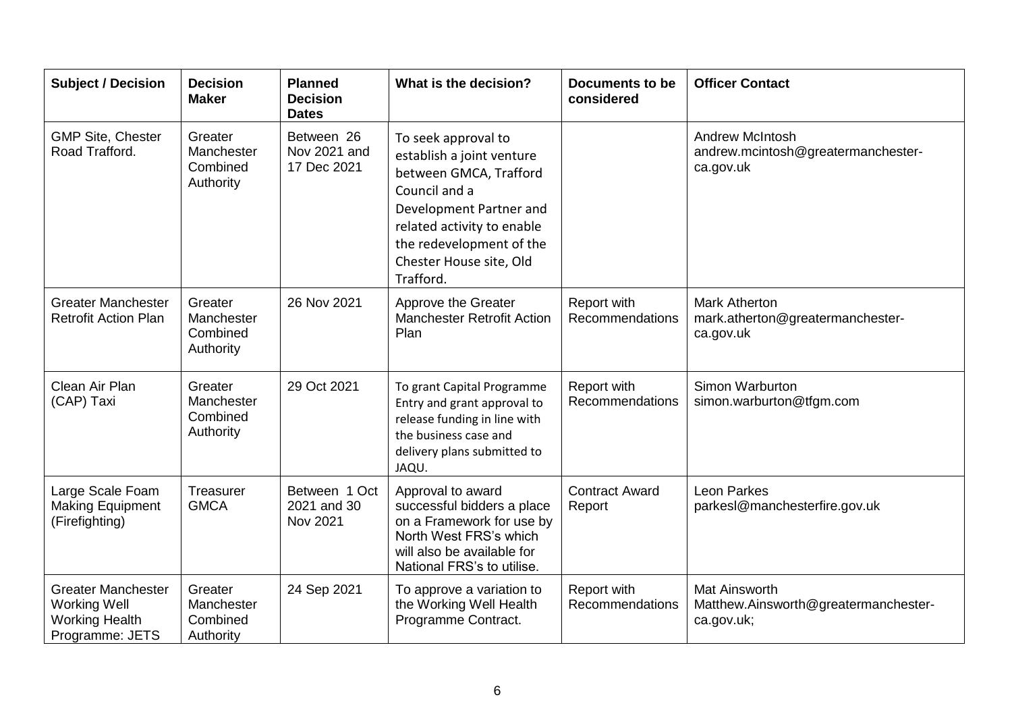| <b>Subject / Decision</b>                                                                    | <b>Decision</b><br><b>Maker</b>                | <b>Planned</b><br><b>Decision</b><br><b>Dates</b> | What is the decision?                                                                                                                                                                                                    | <b>Documents to be</b><br>considered | <b>Officer Contact</b>                                                     |
|----------------------------------------------------------------------------------------------|------------------------------------------------|---------------------------------------------------|--------------------------------------------------------------------------------------------------------------------------------------------------------------------------------------------------------------------------|--------------------------------------|----------------------------------------------------------------------------|
| <b>GMP Site, Chester</b><br>Road Trafford.                                                   | Greater<br>Manchester<br>Combined<br>Authority | Between 26<br>Nov 2021 and<br>17 Dec 2021         | To seek approval to<br>establish a joint venture<br>between GMCA, Trafford<br>Council and a<br>Development Partner and<br>related activity to enable<br>the redevelopment of the<br>Chester House site, Old<br>Trafford. |                                      | <b>Andrew McIntosh</b><br>andrew.mcintosh@greatermanchester-<br>ca.gov.uk  |
| <b>Greater Manchester</b><br><b>Retrofit Action Plan</b>                                     | Greater<br>Manchester<br>Combined<br>Authority | 26 Nov 2021                                       | Approve the Greater<br><b>Manchester Retrofit Action</b><br>Plan                                                                                                                                                         | Report with<br>Recommendations       | <b>Mark Atherton</b><br>mark.atherton@greatermanchester-<br>ca.gov.uk      |
| Clean Air Plan<br>(CAP) Taxi                                                                 | Greater<br>Manchester<br>Combined<br>Authority | 29 Oct 2021                                       | To grant Capital Programme<br>Entry and grant approval to<br>release funding in line with<br>the business case and<br>delivery plans submitted to<br>JAQU.                                                               | Report with<br>Recommendations       | Simon Warburton<br>simon.warburton@tfgm.com                                |
| Large Scale Foam<br><b>Making Equipment</b><br>(Firefighting)                                | Treasurer<br><b>GMCA</b>                       | Between 1 Oct<br>2021 and 30<br>Nov 2021          | Approval to award<br>successful bidders a place<br>on a Framework for use by<br>North West FRS's which<br>will also be available for<br>National FRS's to utilise.                                                       | <b>Contract Award</b><br>Report      | <b>Leon Parkes</b><br>parkesl@manchesterfire.gov.uk                        |
| <b>Greater Manchester</b><br><b>Working Well</b><br><b>Working Health</b><br>Programme: JETS | Greater<br>Manchester<br>Combined<br>Authority | 24 Sep 2021                                       | To approve a variation to<br>the Working Well Health<br>Programme Contract.                                                                                                                                              | Report with<br>Recommendations       | <b>Mat Ainsworth</b><br>Matthew.Ainsworth@greatermanchester-<br>ca.gov.uk; |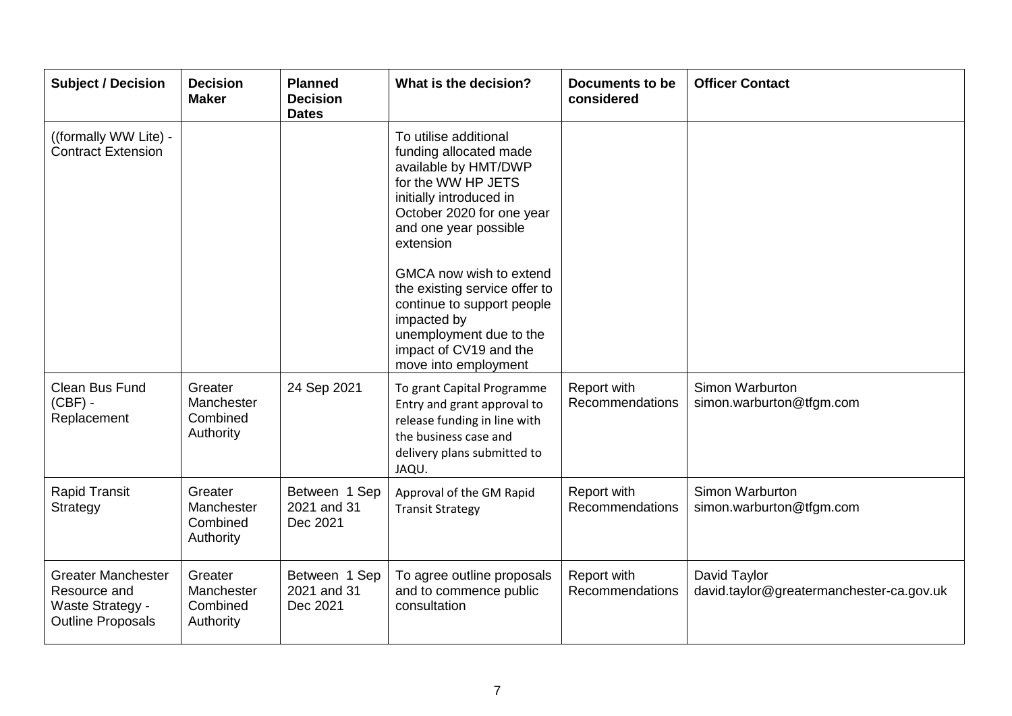| <b>Subject / Decision</b>                                                                        | <b>Decision</b><br><b>Maker</b>                | <b>Planned</b><br><b>Decision</b><br><b>Dates</b> | What is the decision?                                                                                                                                                                       | <b>Documents to be</b><br>considered | <b>Officer Contact</b>                                   |
|--------------------------------------------------------------------------------------------------|------------------------------------------------|---------------------------------------------------|---------------------------------------------------------------------------------------------------------------------------------------------------------------------------------------------|--------------------------------------|----------------------------------------------------------|
| ((formally WW Lite) -<br><b>Contract Extension</b>                                               |                                                |                                                   | To utilise additional<br>funding allocated made<br>available by HMT/DWP<br>for the WW HP JETS<br>initially introduced in<br>October 2020 for one year<br>and one year possible<br>extension |                                      |                                                          |
|                                                                                                  |                                                |                                                   | GMCA now wish to extend<br>the existing service offer to<br>continue to support people<br>impacted by<br>unemployment due to the<br>impact of CV19 and the<br>move into employment          |                                      |                                                          |
| Clean Bus Fund<br>$(CBF) -$<br>Replacement                                                       | Greater<br>Manchester<br>Combined<br>Authority | 24 Sep 2021                                       | To grant Capital Programme<br>Entry and grant approval to<br>release funding in line with<br>the business case and<br>delivery plans submitted to<br>JAQU.                                  | Report with<br>Recommendations       | Simon Warburton<br>simon.warburton@tfgm.com              |
| <b>Rapid Transit</b><br>Strategy                                                                 | Greater<br>Manchester<br>Combined<br>Authority | Between 1 Sep<br>2021 and 31<br>Dec 2021          | Approval of the GM Rapid<br><b>Transit Strategy</b>                                                                                                                                         | Report with<br>Recommendations       | Simon Warburton<br>simon.warburton@tfgm.com              |
| <b>Greater Manchester</b><br>Resource and<br><b>Waste Strategy -</b><br><b>Outline Proposals</b> | Greater<br>Manchester<br>Combined<br>Authority | Between 1 Sep<br>2021 and 31<br>Dec 2021          | To agree outline proposals<br>and to commence public<br>consultation                                                                                                                        | Report with<br>Recommendations       | David Taylor<br>david.taylor@greatermanchester-ca.gov.uk |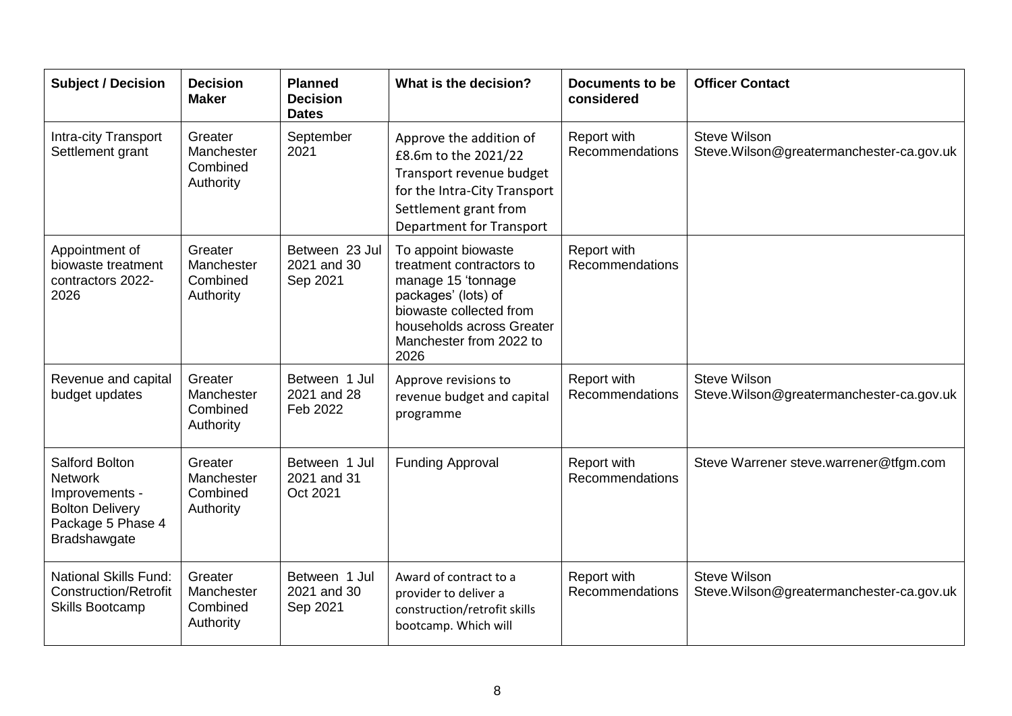| <b>Subject / Decision</b>                                                                                                       | <b>Decision</b><br><b>Maker</b>                | <b>Planned</b><br><b>Decision</b><br><b>Dates</b> | What is the decision?                                                                                                                                                                   | Documents to be<br>considered  | <b>Officer Contact</b>                                          |
|---------------------------------------------------------------------------------------------------------------------------------|------------------------------------------------|---------------------------------------------------|-----------------------------------------------------------------------------------------------------------------------------------------------------------------------------------------|--------------------------------|-----------------------------------------------------------------|
| Intra-city Transport<br>Settlement grant                                                                                        | Greater<br>Manchester<br>Combined<br>Authority | September<br>2021                                 | Approve the addition of<br>£8.6m to the 2021/22<br>Transport revenue budget<br>for the Intra-City Transport<br>Settlement grant from<br>Department for Transport                        | Report with<br>Recommendations | <b>Steve Wilson</b><br>Steve.Wilson@greatermanchester-ca.gov.uk |
| Appointment of<br>biowaste treatment<br>contractors 2022-<br>2026                                                               | Greater<br>Manchester<br>Combined<br>Authority | Between 23 Jul<br>2021 and 30<br>Sep 2021         | To appoint biowaste<br>treatment contractors to<br>manage 15 'tonnage<br>packages' (lots) of<br>biowaste collected from<br>households across Greater<br>Manchester from 2022 to<br>2026 | Report with<br>Recommendations |                                                                 |
| Revenue and capital<br>budget updates                                                                                           | Greater<br>Manchester<br>Combined<br>Authority | Between 1 Jul<br>2021 and 28<br>Feb 2022          | Approve revisions to<br>revenue budget and capital<br>programme                                                                                                                         | Report with<br>Recommendations | <b>Steve Wilson</b><br>Steve.Wilson@greatermanchester-ca.gov.uk |
| <b>Salford Bolton</b><br><b>Network</b><br>Improvements -<br><b>Bolton Delivery</b><br>Package 5 Phase 4<br><b>Bradshawgate</b> | Greater<br>Manchester<br>Combined<br>Authority | Between 1 Jul<br>2021 and 31<br>Oct 2021          | <b>Funding Approval</b>                                                                                                                                                                 | Report with<br>Recommendations | Steve Warrener steve.warrener@tfgm.com                          |
| <b>National Skills Fund:</b><br><b>Construction/Retrofit</b><br><b>Skills Bootcamp</b>                                          | Greater<br>Manchester<br>Combined<br>Authority | Between 1 Jul<br>2021 and 30<br>Sep 2021          | Award of contract to a<br>provider to deliver a<br>construction/retrofit skills<br>bootcamp. Which will                                                                                 | Report with<br>Recommendations | <b>Steve Wilson</b><br>Steve.Wilson@greatermanchester-ca.gov.uk |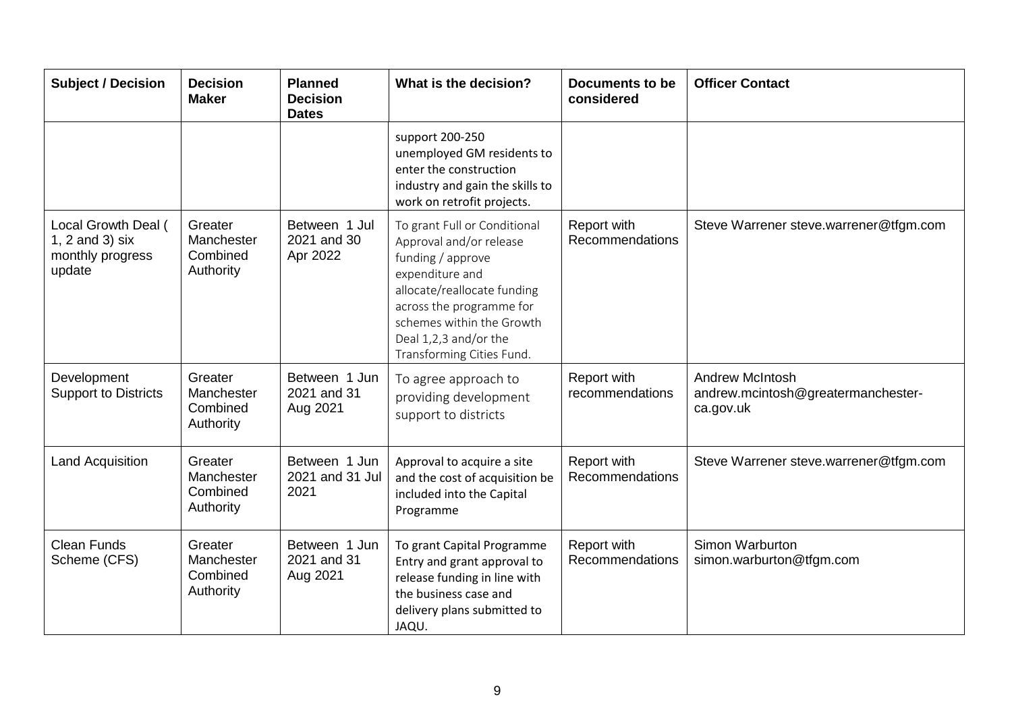| <b>Subject / Decision</b>                                            | <b>Decision</b><br><b>Maker</b>                | <b>Planned</b><br><b>Decision</b><br><b>Dates</b> | What is the decision?                                                                                                                                                                                                                         | <b>Documents to be</b><br>considered  | <b>Officer Contact</b>                                                    |
|----------------------------------------------------------------------|------------------------------------------------|---------------------------------------------------|-----------------------------------------------------------------------------------------------------------------------------------------------------------------------------------------------------------------------------------------------|---------------------------------------|---------------------------------------------------------------------------|
|                                                                      |                                                |                                                   | support 200-250<br>unemployed GM residents to<br>enter the construction<br>industry and gain the skills to<br>work on retrofit projects.                                                                                                      |                                       |                                                                           |
| Local Growth Deal (<br>1, 2 and 3) six<br>monthly progress<br>update | Greater<br>Manchester<br>Combined<br>Authority | Between 1 Jul<br>2021 and 30<br>Apr 2022          | To grant Full or Conditional<br>Approval and/or release<br>funding / approve<br>expenditure and<br>allocate/reallocate funding<br>across the programme for<br>schemes within the Growth<br>Deal 1,2,3 and/or the<br>Transforming Cities Fund. | Report with<br>Recommendations        | Steve Warrener steve.warrener@tfgm.com                                    |
| Development<br><b>Support to Districts</b>                           | Greater<br>Manchester<br>Combined<br>Authority | Between 1 Jun<br>2021 and 31<br>Aug 2021          | To agree approach to<br>providing development<br>support to districts                                                                                                                                                                         | Report with<br>recommendations        | <b>Andrew McIntosh</b><br>andrew.mcintosh@greatermanchester-<br>ca.gov.uk |
| <b>Land Acquisition</b>                                              | Greater<br>Manchester<br>Combined<br>Authority | Between 1 Jun<br>2021 and 31 Jul<br>2021          | Approval to acquire a site<br>and the cost of acquisition be<br>included into the Capital<br>Programme                                                                                                                                        | Report with<br><b>Recommendations</b> | Steve Warrener steve.warrener@tfgm.com                                    |
| <b>Clean Funds</b><br>Scheme (CFS)                                   | Greater<br>Manchester<br>Combined<br>Authority | Between 1 Jun<br>2021 and 31<br>Aug 2021          | To grant Capital Programme<br>Entry and grant approval to<br>release funding in line with<br>the business case and<br>delivery plans submitted to<br>JAQU.                                                                                    | Report with<br>Recommendations        | Simon Warburton<br>simon.warburton@tfgm.com                               |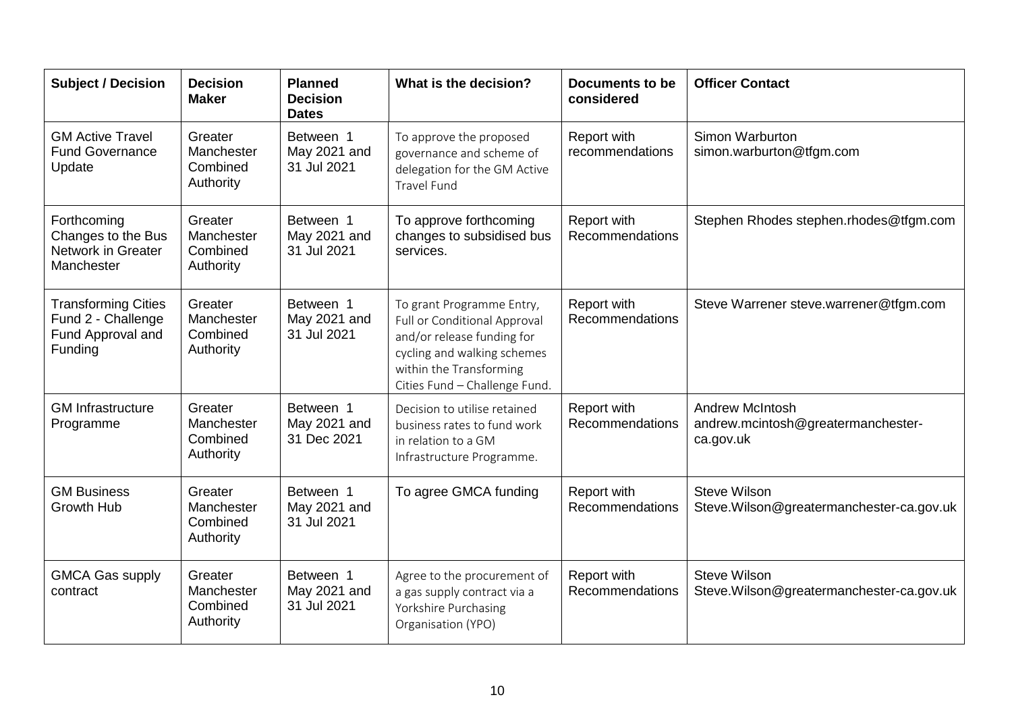| <b>Subject / Decision</b>                                                        | <b>Decision</b><br><b>Maker</b>                | <b>Planned</b><br><b>Decision</b><br><b>Dates</b> | What is the decision?                                                                                                                                                                     | <b>Documents to be</b><br>considered | <b>Officer Contact</b>                                                    |
|----------------------------------------------------------------------------------|------------------------------------------------|---------------------------------------------------|-------------------------------------------------------------------------------------------------------------------------------------------------------------------------------------------|--------------------------------------|---------------------------------------------------------------------------|
| <b>GM Active Travel</b><br><b>Fund Governance</b><br>Update                      | Greater<br>Manchester<br>Combined<br>Authority | Between 1<br>May 2021 and<br>31 Jul 2021          | To approve the proposed<br>governance and scheme of<br>delegation for the GM Active<br><b>Travel Fund</b>                                                                                 | Report with<br>recommendations       | Simon Warburton<br>simon.warburton@tfgm.com                               |
| Forthcoming<br>Changes to the Bus<br>Network in Greater<br>Manchester            | Greater<br>Manchester<br>Combined<br>Authority | Between 1<br>May 2021 and<br>31 Jul 2021          | To approve forthcoming<br>changes to subsidised bus<br>services.                                                                                                                          | Report with<br>Recommendations       | Stephen Rhodes stephen.rhodes@tfgm.com                                    |
| <b>Transforming Cities</b><br>Fund 2 - Challenge<br>Fund Approval and<br>Funding | Greater<br>Manchester<br>Combined<br>Authority | Between 1<br>May 2021 and<br>31 Jul 2021          | To grant Programme Entry,<br><b>Full or Conditional Approval</b><br>and/or release funding for<br>cycling and walking schemes<br>within the Transforming<br>Cities Fund - Challenge Fund. | Report with<br>Recommendations       | Steve Warrener steve.warrener@tfgm.com                                    |
| <b>GM Infrastructure</b><br>Programme                                            | Greater<br>Manchester<br>Combined<br>Authority | Between 1<br>May 2021 and<br>31 Dec 2021          | Decision to utilise retained<br>business rates to fund work<br>in relation to a GM<br>Infrastructure Programme.                                                                           | Report with<br>Recommendations       | <b>Andrew McIntosh</b><br>andrew.mcintosh@greatermanchester-<br>ca.gov.uk |
| <b>GM Business</b><br>Growth Hub                                                 | Greater<br>Manchester<br>Combined<br>Authority | Between 1<br>May 2021 and<br>31 Jul 2021          | To agree GMCA funding                                                                                                                                                                     | Report with<br>Recommendations       | <b>Steve Wilson</b><br>Steve.Wilson@greatermanchester-ca.gov.uk           |
| <b>GMCA Gas supply</b><br>contract                                               | Greater<br>Manchester<br>Combined<br>Authority | Between 1<br>May 2021 and<br>31 Jul 2021          | Agree to the procurement of<br>a gas supply contract via a<br>Yorkshire Purchasing<br>Organisation (YPO)                                                                                  | Report with<br>Recommendations       | <b>Steve Wilson</b><br>Steve.Wilson@greatermanchester-ca.gov.uk           |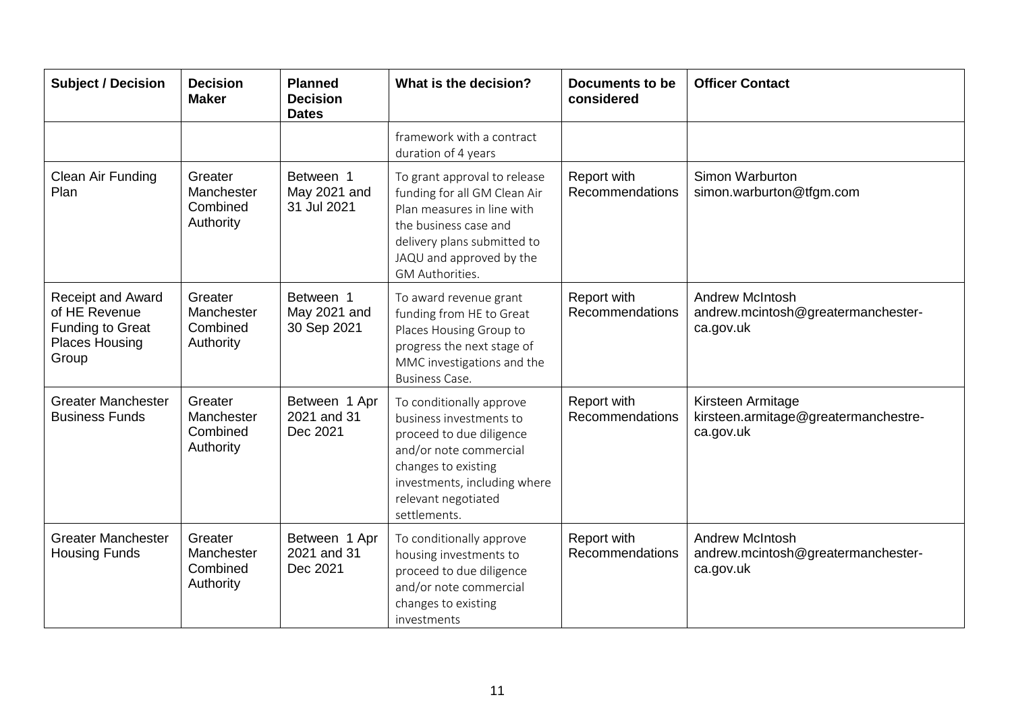| <b>Subject / Decision</b>                                                                              | <b>Decision</b><br><b>Maker</b>                | <b>Planned</b><br><b>Decision</b><br><b>Dates</b> | What is the decision?                                                                                                                                                                                   | <b>Documents to be</b><br>considered | <b>Officer Contact</b>                                                    |
|--------------------------------------------------------------------------------------------------------|------------------------------------------------|---------------------------------------------------|---------------------------------------------------------------------------------------------------------------------------------------------------------------------------------------------------------|--------------------------------------|---------------------------------------------------------------------------|
|                                                                                                        |                                                |                                                   | framework with a contract<br>duration of 4 years                                                                                                                                                        |                                      |                                                                           |
| Clean Air Funding<br>Plan                                                                              | Greater<br>Manchester<br>Combined<br>Authority | Between 1<br>May 2021 and<br>31 Jul 2021          | To grant approval to release<br>funding for all GM Clean Air<br>Plan measures in line with<br>the business case and<br>delivery plans submitted to<br>JAQU and approved by the<br>GM Authorities.       | Report with<br>Recommendations       | Simon Warburton<br>simon.warburton@tfgm.com                               |
| <b>Receipt and Award</b><br>of HE Revenue<br><b>Funding to Great</b><br><b>Places Housing</b><br>Group | Greater<br>Manchester<br>Combined<br>Authority | Between 1<br>May 2021 and<br>30 Sep 2021          | To award revenue grant<br>funding from HE to Great<br>Places Housing Group to<br>progress the next stage of<br>MMC investigations and the<br><b>Business Case.</b>                                      | Report with<br>Recommendations       | <b>Andrew McIntosh</b><br>andrew.mcintosh@greatermanchester-<br>ca.gov.uk |
| <b>Greater Manchester</b><br><b>Business Funds</b>                                                     | Greater<br>Manchester<br>Combined<br>Authority | Between 1 Apr<br>2021 and 31<br>Dec 2021          | To conditionally approve<br>business investments to<br>proceed to due diligence<br>and/or note commercial<br>changes to existing<br>investments, including where<br>relevant negotiated<br>settlements. | Report with<br>Recommendations       | Kirsteen Armitage<br>kirsteen.armitage@greatermanchestre-<br>ca.gov.uk    |
| <b>Greater Manchester</b><br><b>Housing Funds</b>                                                      | Greater<br>Manchester<br>Combined<br>Authority | Between 1 Apr<br>2021 and 31<br>Dec 2021          | To conditionally approve<br>housing investments to<br>proceed to due diligence<br>and/or note commercial<br>changes to existing<br>investments                                                          | Report with<br>Recommendations       | <b>Andrew McIntosh</b><br>andrew.mcintosh@greatermanchester-<br>ca.gov.uk |